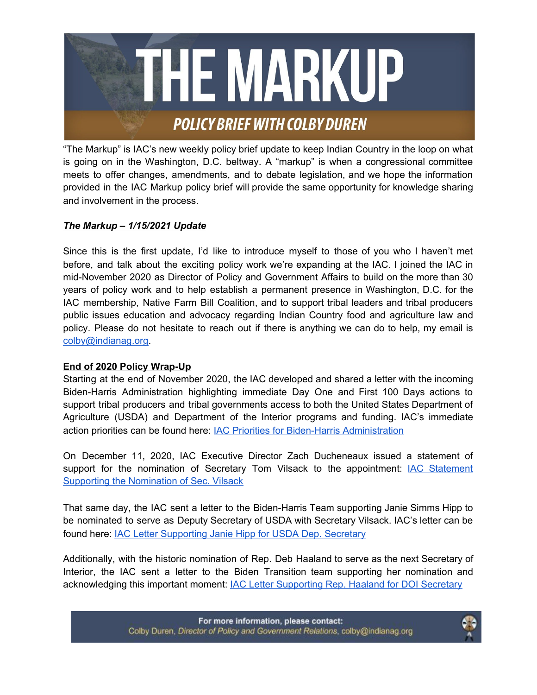

"The Markup" is IAC's new weekly policy brief update to keep Indian Country in the loop on what is going on in the Washington, D.C. beltway. A "markup" is when a congressional committee meets to offer changes, amendments, and to debate legislation, and we hope the information provided in the IAC Markup policy brief will provide the same opportunity for knowledge sharing and involvement in the process.

# *The Markup – 1/15/2021 Update*

Since this is the first update, I'd like to introduce myself to those of you who I haven't met before, and talk about the exciting policy work we're expanding at the IAC. I joined the IAC in mid-November 2020 as Director of Policy and Government Affairs to build on the more than 30 years of policy work and to help establish a permanent presence in Washington, D.C. for the IAC membership, Native Farm Bill Coalition, and to support tribal leaders and tribal producers public issues education and advocacy regarding Indian Country food and agriculture law and policy. Please do not hesitate to reach out if there is anything we can do to help, my email is [colby@indianag.org.](mailto:colby@indianag.org)

## **End of 2020 Policy Wrap-Up**

Starting at the end of November 2020, the IAC developed and shared a letter with the incoming Biden-Harris Administration highlighting immediate Day One and First 100 Days actions to support tribal producers and tribal governments access to both the United States Department of Agriculture (USDA) and Department of the Interior programs and funding. IAC's immediate action priorities can be found here: IAC Priorities for Biden-Harris [Administration](https://28d595ea-c9bb-4218-87df-a3cbf4d05915.filesusr.com/ugd/d039dc_0c1e01c212024de89072da68bf6aad60.pdf)

On December 11, 2020, IAC Executive Director Zach Ducheneaux issued a statement of support for the nomination of Secretary Tom Vilsack to the appointment: IAC [Statement](https://28d595ea-c9bb-4218-87df-a3cbf4d05915.filesusr.com/ugd/d039dc_767c192e14864f73904ef8517d8cef46.pdf) Supporting the [Nomination](https://28d595ea-c9bb-4218-87df-a3cbf4d05915.filesusr.com/ugd/d039dc_767c192e14864f73904ef8517d8cef46.pdf) of Sec. Vilsack

That same day, the IAC sent a letter to the Biden-Harris Team supporting Janie Simms Hipp to be nominated to serve as Deputy Secretary of USDA with Secretary Vilsack. IAC's letter can be found here: IAC Letter [Supporting](https://28d595ea-c9bb-4218-87df-a3cbf4d05915.filesusr.com/ugd/d039dc_f172ffda95aa497b88c26f9c0c845551.pdf) Janie Hipp for USDA Dep. Secretary

Additionally, with the historic nomination of Rep. Deb Haaland to serve as the next Secretary of Interior, the IAC sent a letter to the Biden Transition team supporting her nomination and acknowledging this important moment: IAC Letter [Supporting](https://28d595ea-c9bb-4218-87df-a3cbf4d05915.filesusr.com/ugd/d039dc_9e8c89eaace6499889948d3fc765a811.pdf) Rep. Haaland for DOI Secretary